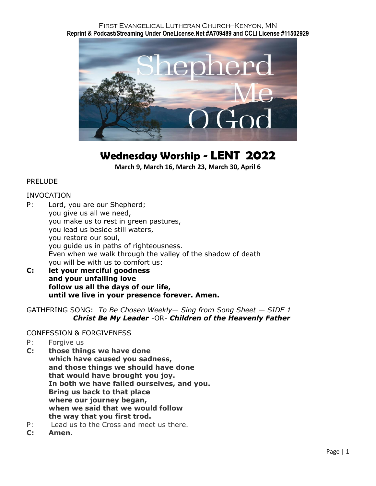#### First Evangelical Lutheran Church—Kenyon, MN **Reprint & Podcast/Streaming Under OneLicense.Net #A709489 and CCLI License #11502929**



# **Wednesday Worship - LENT 2022**

**March 9, March 16, March 23, March 30, April 6**

## PRELUDE

## INVOCATION

- P: Lord, you are our Shepherd; you give us all we need, you make us to rest in green pastures, you lead us beside still waters, you restore our soul, you guide us in paths of righteousness. Even when we walk through the valley of the shadow of death you will be with us to comfort us:
- **C: let your merciful goodness and your unfailing love follow us all the days of our life, until we live in your presence forever. Amen.**

GATHERING SONG: *To Be Chosen Weekly— Sing from Song Sheet — SIDE 1 Christ Be My Leader -*OR- *Children of the Heavenly Father*

## CONFESSION & FORGIVENESS

- P: Forgive us
- **C: those things we have done which have caused you sadness, and those things we should have done that would have brought you joy. In both we have failed ourselves, and you. Bring us back to that place where our journey began, when we said that we would follow the way that you first trod.**
- P: Lead us to the Cross and meet us there.
- **C: Amen.**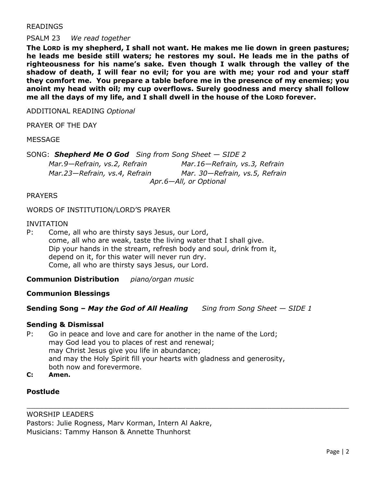## READINGS

## PSALM 23 *We read together*

**The LORD is my shepherd, I shall not want. He makes me lie down in green pastures; he leads me beside still waters; he restores my soul. He leads me in the paths of righteousness for his name's sake. Even though I walk through the valley of the shadow of death, I will fear no evil; for you are with me; your rod and your staff they comfort me. You prepare a table before me in the presence of my enemies; you anoint my head with oil; my cup overflows. Surely goodness and mercy shall follow me all the days of my life, and I shall dwell in the house of the LORD forever.**

ADDITIONAL READING *Optional*

PRAYER OF THE DAY

#### MESSAGE

SONG:*Shepherd Me O God Sing from Song Sheet — SIDE 2 Mar.9—Refrain, vs.2, Refrain Mar.16—Refrain, vs.3, Refrain Mar.23—Refrain, vs.4, Refrain Mar. 30—Refrain, vs.5, Refrain Apr.6—All, or Optional*

#### PRAYERS

#### WORDS OF INSTITUTION/LORD'S PRAYER

#### INVITATION

P: Come, all who are thirsty says Jesus, our Lord, come, all who are weak, taste the living water that I shall give. Dip your hands in the stream, refresh body and soul, drink from it, depend on it, for this water will never run dry. Come, all who are thirsty says Jesus, our Lord.

#### **Communion Distribution** *piano/organ music*

## **Communion Blessings**

#### **Sending Song –** *May the God of All Healing**Sing from Song Sheet — SIDE 1*

## **Sending & Dismissal**

P: Go in peace and love and care for another in the name of the Lord; may God lead you to places of rest and renewal; may Christ Jesus give you life in abundance; and may the Holy Spirit fill your hearts with gladness and generosity, both now and forevermore.

\_\_\_\_\_\_\_\_\_\_\_\_\_\_\_\_\_\_\_\_\_\_\_\_\_\_\_\_\_\_\_\_\_\_\_\_\_\_\_\_\_\_\_\_\_\_\_\_\_\_\_\_\_\_\_\_\_\_\_\_\_\_\_\_\_\_\_\_\_\_\_\_\_\_\_

**C: Amen.**

# **Postlude**

#### WORSHIP LEADERS

Pastors: Julie Rogness, Marv Korman, Intern Al Aakre, Musicians: Tammy Hanson & Annette Thunhorst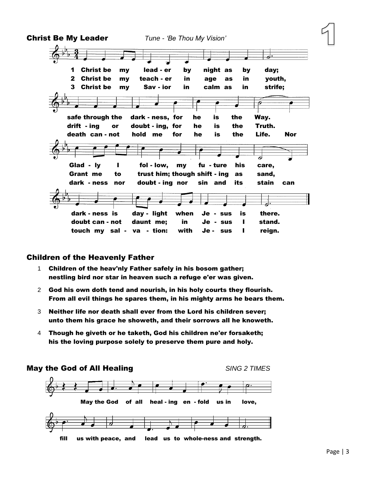

## Children of the Heavenly Father

- 1 Children of the heav'nly Father safely in his bosom gather; nestling bird nor star in heaven such a refuge e'er was given.
- 2 God his own doth tend and nourish, in his holy courts they flourish. From all evil things he spares them, in his mighty arms he bears them.
- 3 Neither life nor death shall ever from the Lord his children sever; unto them his grace he showeth, and their sorrows all he knoweth.
- 4 Though he giveth or he taketh, God his children ne'er forsaketh; his the loving purpose solely to preserve them pure and holy.